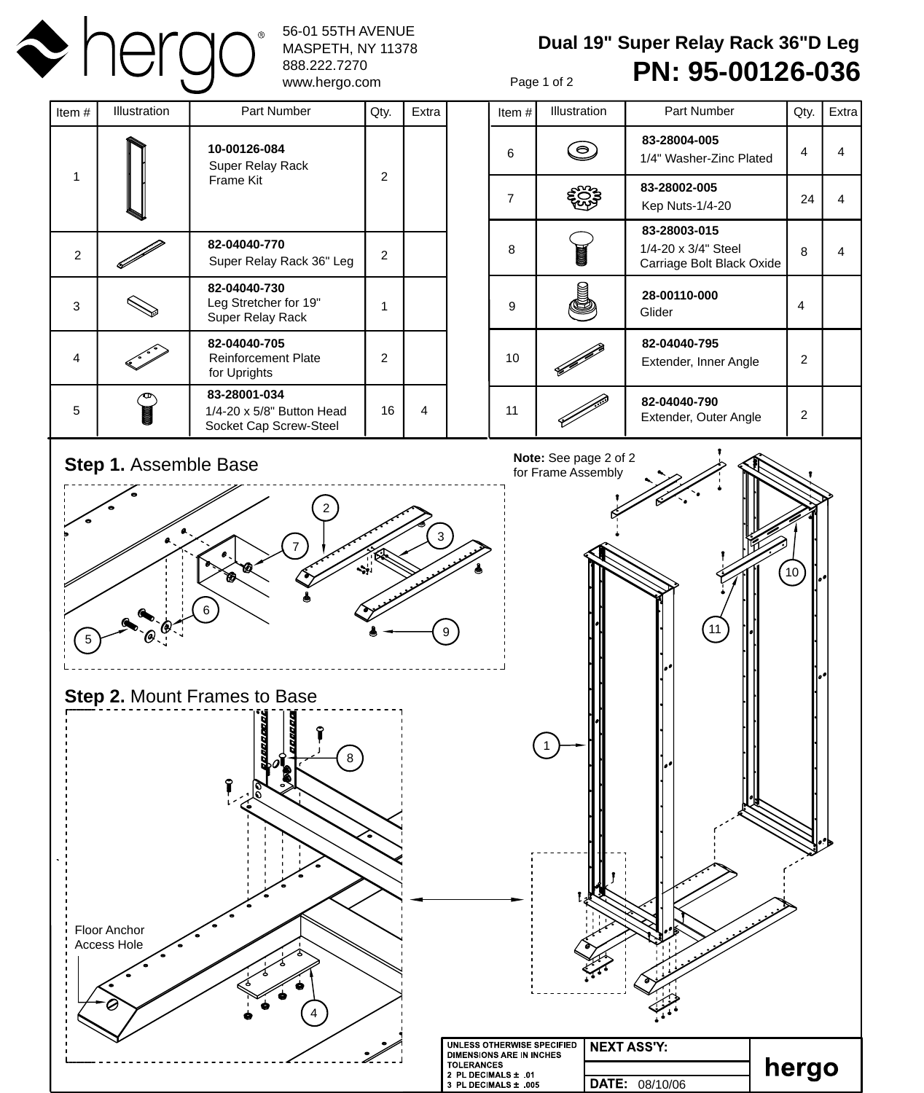

## 56-01 55TH AVENUE MASPETH, NY 11378 888.222.7270

**Dual 19" Super Relay Rack 36"D Leg PN: 95-00126-036**

Page 1 of 2